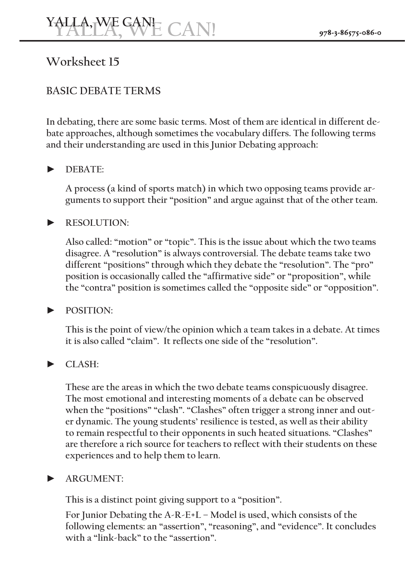# **15 Worksheet**

## **BASIC DEBATE TERMS**

bate approaches, although sometimes the vocabulary differs. The following terms In debating, there are some basic terms. Most of them are identical in different deand their understanding are used in this Junior Debating approach:

## **:DEBATE►**

guments to support their "position" and argue against that of the other team. A process (a kind of sports match) in which two opposing teams provide ar-

#### **:RESOLUTION►**

Also called: "motion" or "topic". This is the issue about which the two teams disagree. A "resolution" is always controversial. The debate teams take two different "positions" through which they debate the "resolution". The "pro" position is occasionally called the "affirmative side" or "proposition", while the "contra" position is sometimes called the "opposite side" or "opposition".

#### **:POSITION►**

This is the point of view/the opinion which a team takes in a debate. At times it is also called "claim". It reflects one side of the "resolution".

## **:CLASH►**

These are the areas in which the two debate teams conspicuously disagree. The most emotional and interesting moments of a debate can be observed er dynamic. The young students' resilience is tested, as well as their ability when the "positions" "clash". "Clashes" often trigger a strong inner and outto remain respectful to their opponents in such heated situations. "Clashes" are therefore a rich source for teachers to reflect with their students on these experiences and to help them to learn.

#### $ARGUMENT$

This is a distinct point giving support to a "position".

For Junior Debating the A-R-E+L - Model is used, which consists of the following elements: an "assertion", "reasoning", and "evidence". It concludes with a "link-back" to the "assertion".